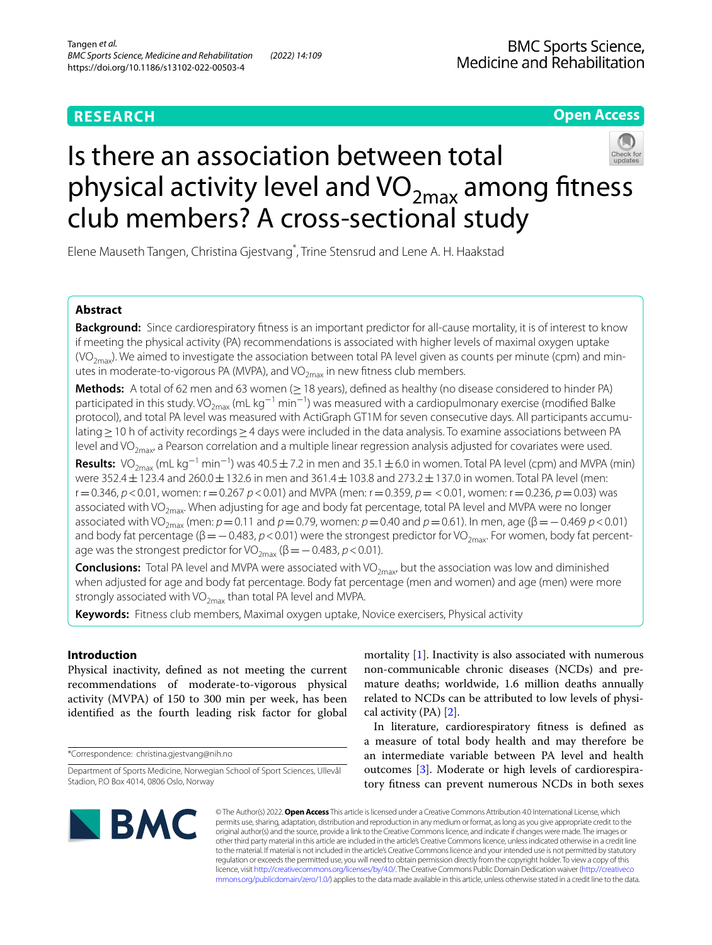# **Open Access**

# Is there an association between total physical activity level and  $VO_{2max}$  among fitness club members? A cross-sectional study

Elene Mauseth Tangen, Christina Gjestvang\* , Trine Stensrud and Lene A. H. Haakstad

# **Abstract**

**Background:** Since cardiorespiratory ftness is an important predictor for all-cause mortality, it is of interest to know if meeting the physical activity (PA) recommendations is associated with higher levels of maximal oxygen uptake (VO<sub>2max</sub>). We aimed to investigate the association between total PA level given as counts per minute (cpm) and minutes in moderate-to-vigorous PA (MVPA), and VO $_{2\text{max}}$  in new fitness club members.

**Methods:** A total of 62 men and 63 women (≥ 18 years), defined as healthy (no disease considered to hinder PA) participated in this study. VO<sub>2max</sub> (mL kg<sup>−1</sup> min<sup>−1</sup>) was measured with a cardiopulmonary exercise (modified Balke protocol), and total PA level was measured with ActiGraph GT1M for seven consecutive days. All participants accumulating≥10 h of activity recordings≥4 days were included in the data analysis. To examine associations between PA level and VO<sub>2max</sub>, a Pearson correlation and a multiple linear regression analysis adjusted for covariates were used.

**Results:** VO<sub>2max</sub> (mL kg<sup>−1</sup> min<sup>−1</sup>) was 40.5±7.2 in men and 35.1±6.0 in women. Total PA level (cpm) and MVPA (min) were 352.4 ± 123.4 and 260.0 ± 132.6 in men and 361.4 ± 103.8 and 273.2 ± 137.0 in women. Total PA level (men: r=0.346, *p*<0.01, women: r=0.267 *p*<0.01) and MVPA (men: r=0.359, *p*= <0.01, women: r=0.236, *p*=0.03) was associated with VO<sub>2max</sub>. When adjusting for age and body fat percentage, total PA level and MVPA were no longer associated with VO<sub>2max</sub> (men:  $p=0.11$  and  $p=0.79$ , women:  $p=0.40$  and  $p=0.61$ ). In men, age ( $\beta=-0.469$   $p<0.01$ ) and body fat percentage (β = − 0.483, *p* < 0.01) were the strongest predictor for VO<sub>2max</sub>. For women, body fat percentage was the strongest predictor for VO<sub>2max</sub> ( $\beta$  = − 0.483, *p* < 0.01).

**Conclusions:** Total PA level and MVPA were associated with VO<sub>2max</sub>, but the association was low and diminished when adjusted for age and body fat percentage. Body fat percentage (men and women) and age (men) were more strongly associated with  $VO<sub>2max</sub>$  than total PA level and MVPA.

**Keywords:** Fitness club members, Maximal oxygen uptake, Novice exercisers, Physical activity

# **Introduction**

Physical inactivity, defned as not meeting the current recommendations of moderate-to-vigorous physical activity (MVPA) of 150 to 300 min per week, has been identifed as the fourth leading risk factor for global

\*Correspondence: christina.gjestvang@nih.no

mortality [[1\]](#page-6-0). Inactivity is also associated with numerous non-communicable chronic diseases (NCDs) and premature deaths; worldwide, 1.6 million deaths annually related to NCDs can be attributed to low levels of physical activity (PA) [[2](#page-6-1)].

In literature, cardiorespiratory ftness is defned as a measure of total body health and may therefore be an intermediate variable between PA level and health outcomes [\[3](#page-6-2)]. Moderate or high levels of cardiorespiratory ftness can prevent numerous NCDs in both sexes



© The Author(s) 2022. **Open Access** This article is licensed under a Creative Commons Attribution 4.0 International License, which permits use, sharing, adaptation, distribution and reproduction in any medium or format, as long as you give appropriate credit to the original author(s) and the source, provide a link to the Creative Commons licence, and indicate if changes were made. The images or other third party material in this article are included in the article's Creative Commons licence, unless indicated otherwise in a credit line to the material. If material is not included in the article's Creative Commons licence and your intended use is not permitted by statutory regulation or exceeds the permitted use, you will need to obtain permission directly from the copyright holder. To view a copy of this licence, visit [http://creativecommons.org/licenses/by/4.0/.](http://creativecommons.org/licenses/by/4.0/) The Creative Commons Public Domain Dedication waiver ([http://creativeco](http://creativecommons.org/publicdomain/zero/1.0/) [mmons.org/publicdomain/zero/1.0/](http://creativecommons.org/publicdomain/zero/1.0/)) applies to the data made available in this article, unless otherwise stated in a credit line to the data.

Department of Sports Medicine, Norwegian School of Sport Sciences, Ullevål Stadion, P.O Box 4014, 0806 Oslo, Norway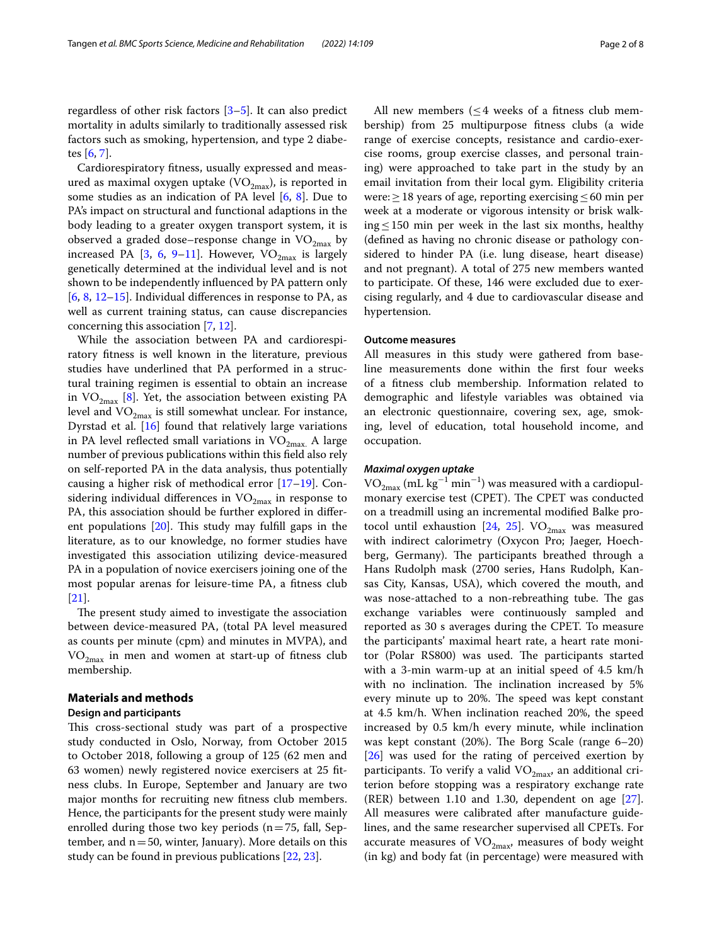regardless of other risk factors [\[3](#page-6-2)[–5](#page-6-3)]. It can also predict mortality in adults similarly to traditionally assessed risk factors such as smoking, hypertension, and type 2 diabetes [[6,](#page-6-4) [7](#page-6-5)].

Cardiorespiratory ftness, usually expressed and measured as maximal oxygen uptake  $(VO_{2max})$ , is reported in some studies as an indication of PA level [[6,](#page-6-4) [8\]](#page-6-6). Due to PA's impact on structural and functional adaptions in the body leading to a greater oxygen transport system, it is observed a graded dose–response change in  $VO_{2max}$  by increased PA [\[3](#page-6-2), [6,](#page-6-4) [9–](#page-6-7)[11](#page-6-8)]. However,  $VO_{2max}$  is largely genetically determined at the individual level and is not shown to be independently infuenced by PA pattern only  $[6, 8, 12-15]$  $[6, 8, 12-15]$  $[6, 8, 12-15]$  $[6, 8, 12-15]$  $[6, 8, 12-15]$  $[6, 8, 12-15]$ . Individual differences in response to PA, as well as current training status, can cause discrepancies concerning this association [\[7](#page-6-5), [12\]](#page-6-9).

While the association between PA and cardiorespiratory ftness is well known in the literature, previous studies have underlined that PA performed in a structural training regimen is essential to obtain an increase in  $VO_{2max}$  [[8\]](#page-6-6). Yet, the association between existing PA level and  $VO_{2max}$  is still somewhat unclear. For instance, Dyrstad et al. [\[16\]](#page-6-11) found that relatively large variations in PA level reflected small variations in  $VO_{2max}$ . A large number of previous publications within this feld also rely on self-reported PA in the data analysis, thus potentially causing a higher risk of methodical error [\[17](#page-6-12)–[19\]](#page-6-13). Considering individual differences in  $VO_{2max}$  in response to PA, this association should be further explored in diferent populations  $[20]$  $[20]$ . This study may fulfill gaps in the literature, as to our knowledge, no former studies have investigated this association utilizing device-measured PA in a population of novice exercisers joining one of the most popular arenas for leisure-time PA, a ftness club [[21\]](#page-6-15).

The present study aimed to investigate the association between device-measured PA, (total PA level measured as counts per minute (cpm) and minutes in MVPA), and  $VO<sub>2max</sub>$  in men and women at start-up of fitness club membership.

## **Materials and methods**

## **Design and participants**

This cross-sectional study was part of a prospective study conducted in Oslo, Norway, from October 2015 to October 2018, following a group of 125 (62 men and 63 women) newly registered novice exercisers at 25 ftness clubs. In Europe, September and January are two major months for recruiting new ftness club members. Hence, the participants for the present study were mainly enrolled during those two key periods  $(n=75, \text{ fall}, \text{Sep}$ tember, and  $n=50$ , winter, January). More details on this study can be found in previous publications [[22,](#page-6-16) [23\]](#page-6-17).

All new members  $(\leq 4$  weeks of a fitness club membership) from 25 multipurpose ftness clubs (a wide range of exercise concepts, resistance and cardio-exercise rooms, group exercise classes, and personal training) were approached to take part in the study by an email invitation from their local gym. Eligibility criteria were:  $\geq$  18 years of age, reporting exercising  $\leq$  60 min per week at a moderate or vigorous intensity or brisk walking≤150 min per week in the last six months, healthy (defned as having no chronic disease or pathology considered to hinder PA (i.e. lung disease, heart disease) and not pregnant). A total of 275 new members wanted to participate. Of these, 146 were excluded due to exercising regularly, and 4 due to cardiovascular disease and hypertension.

## **Outcome measures**

All measures in this study were gathered from baseline measurements done within the frst four weeks of a ftness club membership. Information related to demographic and lifestyle variables was obtained via an electronic questionnaire, covering sex, age, smoking, level of education, total household income, and occupation.

## *Maximal oxygen uptake*

 $\rm VO_{2max}$  (mL kg<sup>-1</sup> min<sup>-1</sup>) was measured with a cardiopulmonary exercise test (CPET). The CPET was conducted on a treadmill using an incremental modifed Balke pro-tocol until exhaustion [\[24](#page-6-18), [25](#page-6-19)].  $VO_{2max}$  was measured with indirect calorimetry (Oxycon Pro; Jaeger, Hoechberg, Germany). The participants breathed through a Hans Rudolph mask (2700 series, Hans Rudolph, Kansas City, Kansas, USA), which covered the mouth, and was nose-attached to a non-rebreathing tube. The gas exchange variables were continuously sampled and reported as 30 s averages during the CPET. To measure the participants' maximal heart rate, a heart rate monitor (Polar RS800) was used. The participants started with a 3-min warm-up at an initial speed of 4.5 km/h with no inclination. The inclination increased by 5% every minute up to 20%. The speed was kept constant at 4.5 km/h. When inclination reached 20%, the speed increased by 0.5 km/h every minute, while inclination was kept constant  $(20%)$ . The Borg Scale (range  $6-20$ ) [[26\]](#page-6-20) was used for the rating of perceived exertion by participants. To verify a valid  $VO_{2mav}$ , an additional criterion before stopping was a respiratory exchange rate (RER) between 1.10 and 1.30, dependent on age [\[27](#page-6-21)]. All measures were calibrated after manufacture guidelines, and the same researcher supervised all CPETs. For accurate measures of  $VO<sub>2max</sub>$ , measures of body weight (in kg) and body fat (in percentage) were measured with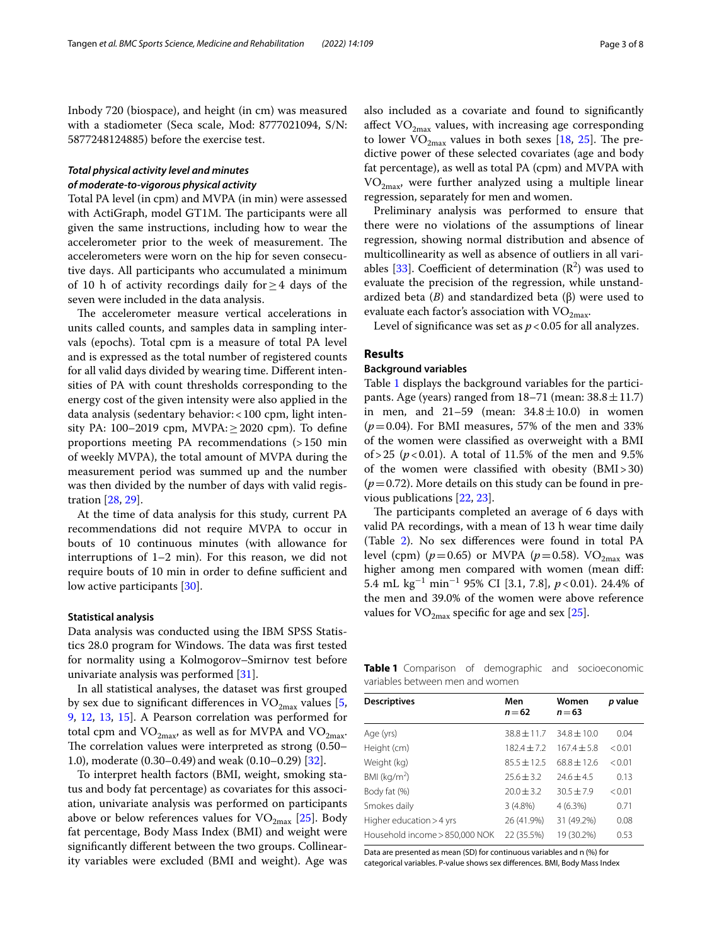Inbody 720 (biospace), and height (in cm) was measured with a stadiometer (Seca scale, Mod: 8777021094, S/N: 5877248124885) before the exercise test.

# *Total physical activity level and minutes of moderate‑to‑vigorous physical activity*

Total PA level (in cpm) and MVPA (in min) were assessed with ActiGraph, model GT1M. The participants were all given the same instructions, including how to wear the accelerometer prior to the week of measurement. The accelerometers were worn on the hip for seven consecutive days. All participants who accumulated a minimum of 10 h of activity recordings daily for  $\geq$  4 days of the seven were included in the data analysis.

The accelerometer measure vertical accelerations in units called counts, and samples data in sampling intervals (epochs). Total cpm is a measure of total PA level and is expressed as the total number of registered counts for all valid days divided by wearing time. Diferent intensities of PA with count thresholds corresponding to the energy cost of the given intensity were also applied in the data analysis (sedentary behavior:<100 cpm, light intensity PA:  $100-2019$  cpm, MVPA: $\geq 2020$  cpm). To define proportions meeting PA recommendations (>150 min of weekly MVPA), the total amount of MVPA during the measurement period was summed up and the number was then divided by the number of days with valid registration [\[28,](#page-6-22) [29](#page-6-23)].

At the time of data analysis for this study, current PA recommendations did not require MVPA to occur in bouts of 10 continuous minutes (with allowance for interruptions of 1–2 min). For this reason, we did not require bouts of 10 min in order to define sufficient and low active participants [\[30](#page-6-24)].

## **Statistical analysis**

Data analysis was conducted using the IBM SPSS Statistics 28.0 program for Windows. The data was first tested for normality using a Kolmogorov–Smirnov test before univariate analysis was performed [[31\]](#page-6-25).

In all statistical analyses, the dataset was frst grouped by sex due to significant differences in  $VO_{2max}$  values [\[5](#page-6-3), [9,](#page-6-7) [12](#page-6-9), [13,](#page-6-26) [15\]](#page-6-10). A Pearson correlation was performed for total cpm and  $VO_{2max}$ , as well as for MVPA and  $VO_{2max}$ . The correlation values were interpreted as strong  $(0.50-$ 1.0), moderate (0.30–0.49) and weak (0.10–0.29) [[32\]](#page-6-27).

To interpret health factors (BMI, weight, smoking status and body fat percentage) as covariates for this association, univariate analysis was performed on participants above or below references values for  $VO_{2max}$  [[25](#page-6-19)]. Body fat percentage, Body Mass Index (BMI) and weight were signifcantly diferent between the two groups. Collinearity variables were excluded (BMI and weight). Age was also included as a covariate and found to signifcantly affect  $VO_{2max}$  values, with increasing age corresponding to lower  $\rm VO_{2max}$  values in both sexes [\[18,](#page-6-28) [25\]](#page-6-19). The predictive power of these selected covariates (age and body fat percentage), as well as total PA (cpm) and MVPA with  $VO_{2max}$ , were further analyzed using a multiple linear regression, separately for men and women.

Preliminary analysis was performed to ensure that there were no violations of the assumptions of linear regression, showing normal distribution and absence of multicollinearity as well as absence of outliers in all vari-ables [\[33](#page-6-29)]. Coefficient of determination  $(R^2)$  was used to evaluate the precision of the regression, while unstandardized beta (*B*) and standardized beta (β) were used to evaluate each factor's association with  $VO_{2max}$ .

Level of significance was set as  $p < 0.05$  for all analyzes.

## **Results**

## **Background variables**

Table [1](#page-2-0) displays the background variables for the participants. Age (years) ranged from  $18-71$  (mean:  $38.8 \pm 11.7$ ) in men, and  $21-59$  (mean:  $34.8 \pm 10.0$ ) in women  $(p=0.04)$ . For BMI measures, 57% of the men and 33% of the women were classifed as overweight with a BMI of > 25 ( $p$  < 0.01). A total of 11.5% of the men and 9.5% of the women were classifed with obesity (BMI>30)  $(p=0.72)$ . More details on this study can be found in previous publications [\[22](#page-6-16), [23](#page-6-17)].

The participants completed an average of 6 days with valid PA recordings, with a mean of 13 h wear time daily (Table [2](#page-3-0)). No sex diferences were found in total PA level (cpm) ( $p=0.65$ ) or MVPA ( $p=0.58$ ). VO<sub>2max</sub> was higher among men compared with women (mean dif: 5.4 mL kg−<sup>1</sup> min−<sup>1</sup> 95% CI [3.1, 7.8], *p*<0.01). 24.4% of the men and 39.0% of the women were above reference values for  $VO_{2max}$  specific for age and sex [\[25\]](#page-6-19).

<span id="page-2-0"></span>**Table 1** Comparison of demographic and socioeconomic variables between men and women

| <b>Descriptives</b>            | Men<br>$n = 62$ | Women<br>$n = 63$ | p value |
|--------------------------------|-----------------|-------------------|---------|
| Age (yrs)                      | $38.8 + 11.7$   | $34.8 + 10.0$     | 0.04    |
| Height (cm)                    | $182.4 + 7.2$   | $167.4 \pm 5.8$   | < 0.01  |
| Weight (kg)                    | $85.5 + 12.5$   | $68.8 + 12.6$     | < 0.01  |
| BMI ( $kg/m2$ )                | $25.6 + 3.2$    | $74.6 + 4.5$      | 0.13    |
| Body fat (%)                   | $20.0 + 3.2$    | $30.5 + 7.9$      | < 0.01  |
| Smokes daily                   | 3(4.8%)         | 4(6.3%)           | 0.71    |
| Higher education > 4 yrs       | 26 (41.9%)      | 31 (49.2%)        | 0.08    |
| Household income > 850,000 NOK | 22 (35.5%)      | 19 (30.2%)        | 0.53    |

Data are presented as mean (SD) for continuous variables and n (%) for categorical variables. P-value shows sex diferences. BMI, Body Mass Index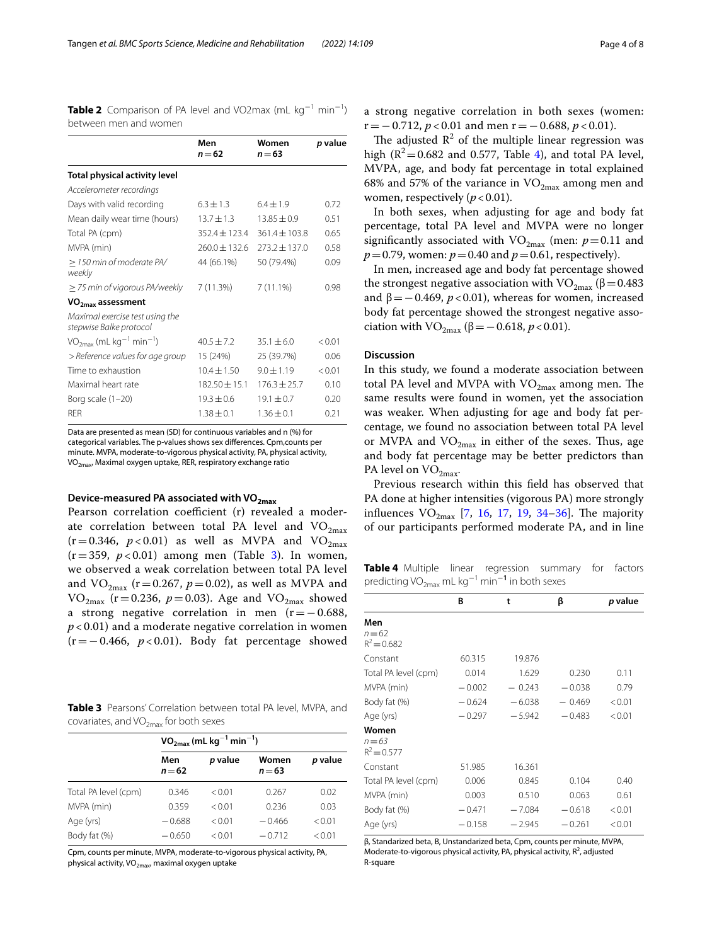<span id="page-3-0"></span>

| <b>Table 2</b> Comparison of PA level and VO2max (mL $kg^{-1}$ min <sup>-1</sup> ) |  |  |  |
|------------------------------------------------------------------------------------|--|--|--|
| between men and women                                                              |  |  |  |

|                                                            | Men<br>$n = 62$   | Women<br>$n = 63$ | p value |
|------------------------------------------------------------|-------------------|-------------------|---------|
| Total physical activity level                              |                   |                   |         |
| Accelerometer recordings                                   |                   |                   |         |
| Days with valid recording                                  | $6.3 \pm 1.3$     | $6.4 + 1.9$       | 0.72    |
| Mean daily wear time (hours)                               | $13.7 + 1.3$      | $13.85 + 0.9$     | 0.51    |
| Total PA (cpm)                                             | $352.4 + 123.4$   | $361.4 \pm 103.8$ | 0.65    |
| MVPA (min)                                                 | $760.0 + 132.6$   | $773.2 \pm 137.0$ | 0.58    |
| > 150 min of moderate PA/<br>weekly                        | 44 (66.1%)        | 50 (79.4%)        | 0.09    |
| $\geq$ 75 min of vigorous PA/weekly                        | 7(11.3%)          | 7(11.1%)          | 0.98    |
| VO <sub>2max</sub> assessment                              |                   |                   |         |
| Maximal exercise test using the<br>stepwise Balke protocol |                   |                   |         |
| $VO_{2max}$ (mL kg <sup>-1</sup> min <sup>-1</sup> )       | $40.5 + 7.2$      | $35.1 + 6.0$      | < 0.01  |
| > Reference values for age group                           | 15 (24%)          | 25 (39.7%)        | 0.06    |
| Time to exhaustion                                         | $10.4 \pm 1.50$   | $9.0 + 1.19$      | < 0.01  |
| Maximal heart rate                                         | $182.50 \pm 15.1$ | $176.3 \pm 25.7$  | 0.10    |
| Borg scale (1-20)                                          | $19.3 + 0.6$      | $19.1 + 0.7$      | 0.20    |
| <b>RFR</b>                                                 | $1.38 + 0.1$      | $1.36 + 0.1$      | 0.21    |

Data are presented as mean (SD) for continuous variables and n (%) for categorical variables. The p-values shows sex diferences. Cpm,counts per minute. MVPA, moderate-to-vigorous physical activity, PA, physical activity,  $VO<sub>2max</sub>$  Maximal oxygen uptake, RER, respiratory exchange ratio

# **Device‑measured PA associated with VO2max**

Pearson correlation coefficient (r) revealed a moderate correlation between total PA level and  $VO_{2max}$  $(r=0.346, p<0.01)$  as well as MVPA and VO<sub>2max</sub>  $(r=359, p<0.01)$  among men (Table [3\)](#page-3-1). In women, we observed a weak correlation between total PA level and  $VO_{2max}$  ( $r=0.267$ ,  $p=0.02$ ), as well as MVPA and VO<sub>2max</sub> (r = 0.236,  $p = 0.03$ ). Age and VO<sub>2max</sub> showed a strong negative correlation in men (r=−0.688, *p* < 0.01) and a moderate negative correlation in women (r=−0.466, *p* < 0.01). Body fat percentage showed

<span id="page-3-1"></span>

|  | <b>Table 3</b> Pearsons' Correlation between total PA level, MVPA, and |  |  |  |
|--|------------------------------------------------------------------------|--|--|--|
|  | covariates, and VO <sub>2max</sub> for both sexes                      |  |  |  |

|                      | $VO_{2max}$ (mL kg <sup>-1</sup> min <sup>-1</sup> ) |         |                   |         |  |
|----------------------|------------------------------------------------------|---------|-------------------|---------|--|
|                      | Men<br>$n = 62$                                      | p value | Women<br>$n = 63$ | p value |  |
| Total PA level (cpm) | 0.346                                                | < 0.01  | 0.267             | 0.02    |  |
| MVPA (min)           | 0.359                                                | < 0.01  | 0.236             | 0.03    |  |
| Age (yrs)            | $-0.688$                                             | < 0.01  | $-0.466$          | < 0.01  |  |
| Body fat (%)         | $-0.650$                                             | < 0.01  | $-0.712$          | < 0.01  |  |

Cpm, counts per minute, MVPA, moderate-to-vigorous physical activity, PA, physical activity, VO<sub>2max</sub>, maximal oxygen uptake

a strong negative correlation in both sexes (women: r=−0.712, *p* < 0.01 and men r=−0.688, *p* < 0.01).

The adjusted  $\mathbb{R}^2$  of the multiple linear regression was high ( $\mathbb{R}^2$  = 0.682 and 0.577, Table [4](#page-3-2)), and total PA level, MVPA, age, and body fat percentage in total explained 68% and 57% of the variance in  $VO_{2max}$  among men and women, respectively  $(p < 0.01)$ .

In both sexes, when adjusting for age and body fat percentage, total PA level and MVPA were no longer significantly associated with  $VO_{2max}$  (men:  $p=0.11$  and  $p=0.79$ , women:  $p=0.40$  and  $p=0.61$ , respectively).

In men, increased age and body fat percentage showed the strongest negative association with  $VO_{2max}$  (β = 0.483 and  $β = 0.469$ ,  $p < 0.01$ ), whereas for women, increased body fat percentage showed the strongest negative association with VO<sub>2max</sub> (β = -0.618, *p* < 0.01).

## **Discussion**

In this study, we found a moderate association between total PA level and MVPA with  $VO_{2max}$  among men. The same results were found in women, yet the association was weaker. When adjusting for age and body fat percentage, we found no association between total PA level or MVPA and  $VO_{2max}$  in either of the sexes. Thus, age and body fat percentage may be better predictors than PA level on  $VO<sub>2max</sub>$ .

Previous research within this feld has observed that PA done at higher intensities (vigorous PA) more strongly influences  $VO_{2max}$  [\[7](#page-6-5), [16,](#page-6-11) [17](#page-6-12), [19](#page-6-13), [34–](#page-6-30)[36\]](#page-6-31). The majority of our participants performed moderate PA, and in line

<span id="page-3-2"></span>**Table 4** Multiple linear regression summary for factors predicting VO<sub>2max</sub> mL kg<sup>-1</sup> min<sup>-1</sup> in both sexes

|                                    | В        | t        | β        | p value |
|------------------------------------|----------|----------|----------|---------|
| Men<br>$n = 62$<br>$R^2 = 0.682$   |          |          |          |         |
| Constant                           | 60.315   | 19.876   |          |         |
| Total PA level (cpm)               | 0.014    | 1.629    | 0.230    | 0.11    |
| MVPA (min)                         | $-0.002$ | $-0.243$ | $-0.038$ | 0.79    |
| Body fat (%)                       | $-0.624$ | $-6.038$ | $-0.469$ | < 0.01  |
| Age (yrs)                          | $-0.297$ | $-5.942$ | $-0.483$ | < 0.01  |
| Women<br>$n = 63$<br>$R^2 = 0.577$ |          |          |          |         |
| Constant                           | 51.985   | 16.361   |          |         |
| Total PA level (cpm)               | 0.006    | 0.845    | 0.104    | 0.40    |
| MVPA (min)                         | 0.003    | 0.510    | 0.063    | 0.61    |
| Body fat (%)                       | $-0.471$ | $-7.084$ | $-0.618$ | < 0.01  |
| Age (yrs)                          | $-0.158$ | $-2.945$ | $-0.261$ | < 0.01  |

β, Standarized beta, B, Unstandarized beta, Cpm, counts per minute, MVPA, Moderate-to-vigorous physical activity, PA, physical activity,  $R^2$ , adjusted R-square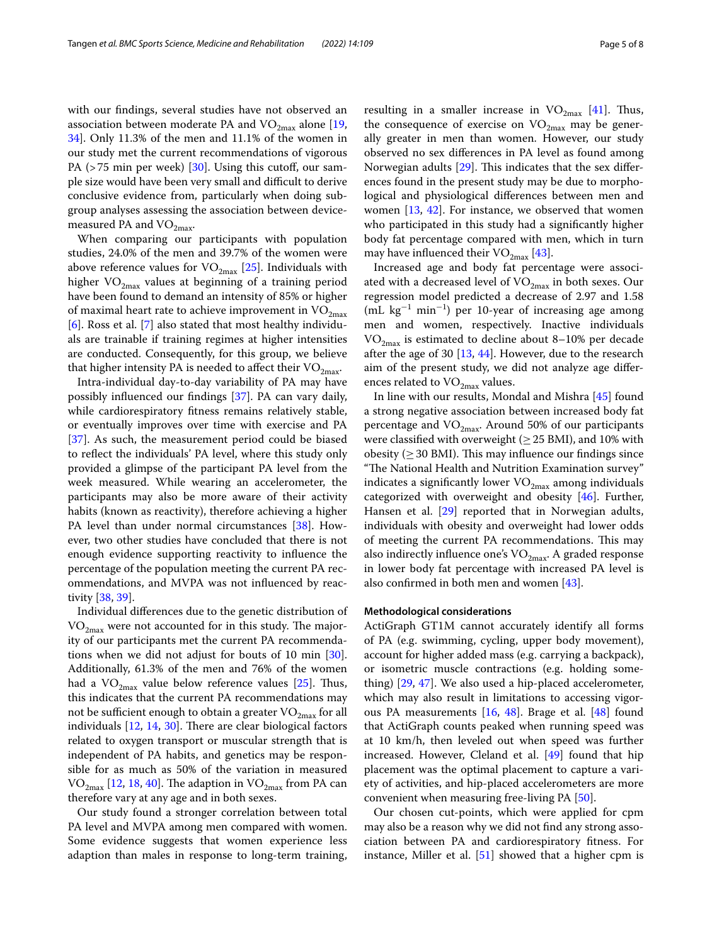with our fndings, several studies have not observed an association between moderate PA and  $VO_{2max}$  alone [\[19](#page-6-13), [34\]](#page-6-30). Only 11.3% of the men and 11.1% of the women in our study met the current recommendations of vigorous PA (>75 min per week) [[30\]](#page-6-24). Using this cutoff, our sample size would have been very small and difficult to derive conclusive evidence from, particularly when doing subgroup analyses assessing the association between devicemeasured PA and  $VO<sub>2max</sub>$ .

When comparing our participants with population studies, 24.0% of the men and 39.7% of the women were above reference values for  $VO_{2max}$  [\[25\]](#page-6-19). Individuals with higher  $VO_{2max}$  values at beginning of a training period have been found to demand an intensity of 85% or higher of maximal heart rate to achieve improvement in  $VO<sub>2max</sub>$ </sub> [[6\]](#page-6-4). Ross et al. [[7\]](#page-6-5) also stated that most healthy individuals are trainable if training regimes at higher intensities are conducted. Consequently, for this group, we believe that higher intensity PA is needed to affect their  $VO<sub>2max</sub>$ .

Intra-individual day-to-day variability of PA may have possibly infuenced our fndings [\[37](#page-6-32)]. PA can vary daily, while cardiorespiratory ftness remains relatively stable, or eventually improves over time with exercise and PA [[37\]](#page-6-32). As such, the measurement period could be biased to refect the individuals' PA level, where this study only provided a glimpse of the participant PA level from the week measured. While wearing an accelerometer, the participants may also be more aware of their activity habits (known as reactivity), therefore achieving a higher PA level than under normal circumstances [[38\]](#page-6-33). However, two other studies have concluded that there is not enough evidence supporting reactivity to infuence the percentage of the population meeting the current PA recommendations, and MVPA was not infuenced by reactivity [\[38,](#page-6-33) [39](#page-6-34)].

Individual diferences due to the genetic distribution of  $VO<sub>2max</sub>$  were not accounted for in this study. The majority of our participants met the current PA recommendations when we did not adjust for bouts of 10 min [\[30](#page-6-24)]. Additionally, 61.3% of the men and 76% of the women had a  $\rm VO_{2max}$  value below reference values [[25](#page-6-19)]. Thus, this indicates that the current PA recommendations may not be sufficient enough to obtain a greater  $VO_{2max}$  for all individuals  $[12, 14, 30]$  $[12, 14, 30]$  $[12, 14, 30]$  $[12, 14, 30]$  $[12, 14, 30]$  $[12, 14, 30]$  $[12, 14, 30]$ . There are clear biological factors related to oxygen transport or muscular strength that is independent of PA habits, and genetics may be responsible for as much as 50% of the variation in measured  $VO_{2max}$  [[12](#page-6-9), [18](#page-6-28), [40\]](#page-6-36). The adaption in  $VO_{2max}$  from PA can therefore vary at any age and in both sexes.

Our study found a stronger correlation between total PA level and MVPA among men compared with women. Some evidence suggests that women experience less adaption than males in response to long-term training,

resulting in a smaller increase in  $VO_{2max}$  [\[41](#page-6-37)]. Thus, the consequence of exercise on  $VO_{2m \alpha x}$  may be generally greater in men than women. However, our study observed no sex diferences in PA level as found among Norwegian adults  $[29]$  $[29]$ . This indicates that the sex differences found in the present study may be due to morphological and physiological diferences between men and women  $[13, 42]$  $[13, 42]$  $[13, 42]$  $[13, 42]$  $[13, 42]$ . For instance, we observed that women who participated in this study had a signifcantly higher body fat percentage compared with men, which in turn may have influenced their  $VO_{2max}$  [[43\]](#page-7-0).

Increased age and body fat percentage were associated with a decreased level of  $VO_{2max}$  in both sexes. Our regression model predicted a decrease of 2.97 and 1.58  $(mL kg<sup>-1</sup> min<sup>-1</sup>)$  per 10-year of increasing age among men and women, respectively. Inactive individuals  $VO_{2max}$  is estimated to decline about 8–10% per decade after the age of 30  $[13, 44]$  $[13, 44]$  $[13, 44]$ . However, due to the research aim of the present study, we did not analyze age diferences related to  $VO_{2max}$  values.

In line with our results, Mondal and Mishra [[45\]](#page-7-2) found a strong negative association between increased body fat percentage and  $VO_{2max}$ . Around 50% of our participants were classified with overweight ( $\geq$  25 BMI), and 10% with obesity ( $\geq$  30 BMI). This may influence our findings since "The National Health and Nutrition Examination survey" indicates a significantly lower  $VO_{2max}$  among individuals categorized with overweight and obesity [\[46](#page-7-3)]. Further, Hansen et al. [[29\]](#page-6-23) reported that in Norwegian adults, individuals with obesity and overweight had lower odds of meeting the current PA recommendations. This may also indirectly influence one's  $VO<sub>2max</sub>$ . A graded response in lower body fat percentage with increased PA level is also confrmed in both men and women [\[43\]](#page-7-0).

## **Methodological considerations**

ActiGraph GT1M cannot accurately identify all forms of PA (e.g. swimming, cycling, upper body movement), account for higher added mass (e.g. carrying a backpack), or isometric muscle contractions (e.g. holding something) [\[29](#page-6-23), [47](#page-7-4)]. We also used a hip-placed accelerometer, which may also result in limitations to accessing vigorous PA measurements [\[16](#page-6-11), [48](#page-7-5)]. Brage et al. [\[48](#page-7-5)] found that ActiGraph counts peaked when running speed was at 10 km/h, then leveled out when speed was further increased. However, Cleland et al. [[49](#page-7-6)] found that hip placement was the optimal placement to capture a variety of activities, and hip-placed accelerometers are more convenient when measuring free-living PA [[50\]](#page-7-7).

Our chosen cut-points, which were applied for cpm may also be a reason why we did not fnd any strong association between PA and cardiorespiratory ftness. For instance, Miller et al. [[51\]](#page-7-8) showed that a higher cpm is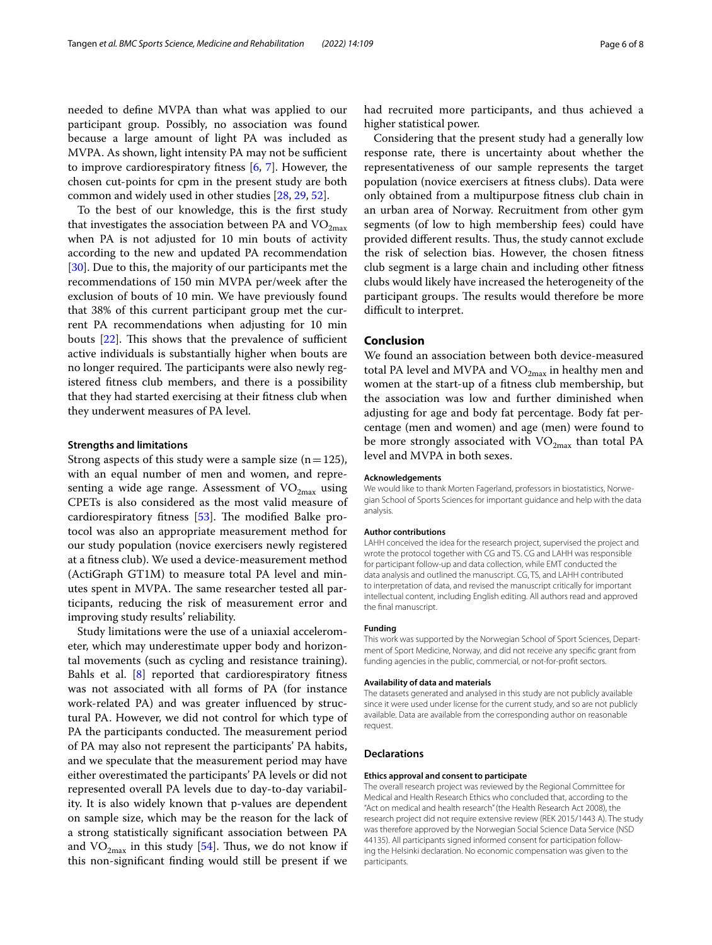needed to defne MVPA than what was applied to our participant group. Possibly, no association was found because a large amount of light PA was included as MVPA. As shown, light intensity PA may not be sufficient to improve cardiorespiratory ftness [[6,](#page-6-4) [7](#page-6-5)]. However, the chosen cut-points for cpm in the present study are both common and widely used in other studies [[28,](#page-6-22) [29](#page-6-23), [52](#page-7-9)].

To the best of our knowledge, this is the frst study that investigates the association between PA and  $VO<sub>2max</sub>$ </sub> when PA is not adjusted for 10 min bouts of activity according to the new and updated PA recommendation [[30\]](#page-6-24). Due to this, the majority of our participants met the recommendations of 150 min MVPA per/week after the exclusion of bouts of 10 min. We have previously found that 38% of this current participant group met the current PA recommendations when adjusting for 10 min bouts  $[22]$  $[22]$ . This shows that the prevalence of sufficient active individuals is substantially higher when bouts are no longer required. The participants were also newly registered ftness club members, and there is a possibility that they had started exercising at their ftness club when they underwent measures of PA level.

# **Strengths and limitations**

Strong aspects of this study were a sample size  $(n=125)$ , with an equal number of men and women, and representing a wide age range. Assessment of  $VO_{2max}$  using CPETs is also considered as the most valid measure of cardiorespiratory fitness  $[53]$  $[53]$  $[53]$ . The modified Balke protocol was also an appropriate measurement method for our study population (novice exercisers newly registered at a ftness club). We used a device-measurement method (ActiGraph GT1M) to measure total PA level and minutes spent in MVPA. The same researcher tested all participants, reducing the risk of measurement error and improving study results' reliability.

Study limitations were the use of a uniaxial accelerometer, which may underestimate upper body and horizontal movements (such as cycling and resistance training). Bahls et al.  $[8]$  $[8]$  reported that cardiorespiratory fitness was not associated with all forms of PA (for instance work-related PA) and was greater infuenced by structural PA. However, we did not control for which type of PA the participants conducted. The measurement period of PA may also not represent the participants' PA habits, and we speculate that the measurement period may have either overestimated the participants' PA levels or did not represented overall PA levels due to day-to-day variability. It is also widely known that p-values are dependent on sample size, which may be the reason for the lack of a strong statistically signifcant association between PA and  $VO_{2max}$  in this study [\[54\]](#page-7-11). Thus, we do not know if this non-signifcant fnding would still be present if we had recruited more participants, and thus achieved a higher statistical power.

Considering that the present study had a generally low response rate, there is uncertainty about whether the representativeness of our sample represents the target population (novice exercisers at ftness clubs). Data were only obtained from a multipurpose ftness club chain in an urban area of Norway. Recruitment from other gym segments (of low to high membership fees) could have provided different results. Thus, the study cannot exclude the risk of selection bias. However, the chosen ftness club segment is a large chain and including other ftness clubs would likely have increased the heterogeneity of the participant groups. The results would therefore be more difficult to interpret.

## **Conclusion**

We found an association between both device-measured total PA level and MVPA and  $VO_{2max}$  in healthy men and women at the start-up of a ftness club membership, but the association was low and further diminished when adjusting for age and body fat percentage. Body fat percentage (men and women) and age (men) were found to be more strongly associated with  $VO<sub>2max</sub>$  than total PA level and MVPA in both sexes.

#### **Acknowledgements**

We would like to thank Morten Fagerland, professors in biostatistics, Norwegian School of Sports Sciences for important guidance and help with the data analysis.

#### **Author contributions**

LAHH conceived the idea for the research project, supervised the project and wrote the protocol together with CG and TS. CG and LAHH was responsible for participant follow-up and data collection, while EMT conducted the data analysis and outlined the manuscript. CG, TS, and LAHH contributed to interpretation of data, and revised the manuscript critically for important intellectual content, including English editing. All authors read and approved the fnal manuscript.

## **Funding**

This work was supported by the Norwegian School of Sport Sciences, Department of Sport Medicine, Norway, and did not receive any specifc grant from funding agencies in the public, commercial, or not-for-proft sectors.

#### **Availability of data and materials**

The datasets generated and analysed in this study are not publicly available since it were used under license for the current study, and so are not publicly available. Data are available from the corresponding author on reasonable request.

## **Declarations**

#### **Ethics approval and consent to participate**

The overall research project was reviewed by the Regional Committee for Medical and Health Research Ethics who concluded that, according to the "Act on medical and health research" (the Health Research Act 2008), the research project did not require extensive review (REK 2015/1443 A). The study was therefore approved by the Norwegian Social Science Data Service (NSD 44135). All participants signed informed consent for participation following the Helsinki declaration. No economic compensation was given to the participants.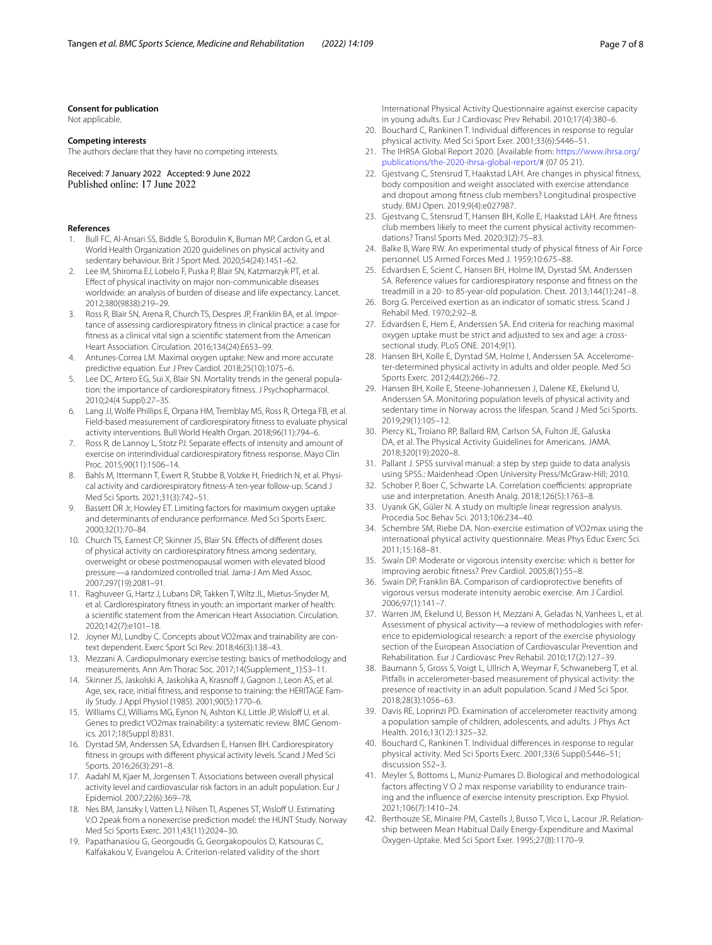#### **Consent for publication**

Not applicable.

## **Competing interests**

The authors declare that they have no competing interests.

Received: 7 January 2022 Accepted: 9 June 2022

#### **References**

- <span id="page-6-0"></span>1. Bull FC, Al-Ansari SS, Biddle S, Borodulin K, Buman MP, Cardon G, et al. World Health Organization 2020 guidelines on physical activity and sedentary behaviour. Brit J Sport Med. 2020;54(24):1451–62.
- <span id="page-6-1"></span>2. Lee IM, Shiroma EJ, Lobelo F, Puska P, Blair SN, Katzmarzyk PT, et al. Efect of physical inactivity on major non-communicable diseases worldwide: an analysis of burden of disease and life expectancy. Lancet. 2012;380(9838):219–29.
- <span id="page-6-2"></span>3. Ross R, Blair SN, Arena R, Church TS, Despres JP, Franklin BA, et al. Importance of assessing cardiorespiratory ftness in clinical practice: a case for ftness as a clinical vital sign a scientifc statement from the American Heart Association. Circulation. 2016;134(24):E653–99.
- 4. Antunes-Correa LM. Maximal oxygen uptake: New and more accurate predictive equation. Eur J Prev Cardiol. 2018;25(10):1075–6.
- <span id="page-6-3"></span>5. Lee DC, Artero EG, Sui X, Blair SN. Mortality trends in the general population: the importance of cardiorespiratory ftness. J Psychopharmacol. 2010;24(4 Suppl):27–35.
- <span id="page-6-4"></span>6. Lang JJ, Wolfe Phillips E, Orpana HM, Tremblay MS, Ross R, Ortega FB, et al. Field-based measurement of cardiorespiratory ftness to evaluate physical activity interventions. Bull World Health Organ. 2018;96(11):794–6.
- <span id="page-6-5"></span>7. Ross R, de Lannoy L, Stotz PJ. Separate effects of intensity and amount of exercise on interindividual cardiorespiratory ftness response. Mayo Clin Proc. 2015;90(11):1506–14.
- <span id="page-6-6"></span>Bahls M, Ittermann T, Ewert R, Stubbe B, Volzke H, Friedrich N, et al. Physical activity and cardiorespiratory ftness-A ten-year follow-up. Scand J Med Sci Sports. 2021;31(3):742–51.
- <span id="page-6-7"></span>9. Bassett DR Jr, Howley ET. Limiting factors for maximum oxygen uptake and determinants of endurance performance. Med Sci Sports Exerc. 2000;32(1):70–84.
- 10. Church TS, Earnest CP, Skinner JS, Blair SN. Efects of diferent doses of physical activity on cardiorespiratory ftness among sedentary, overweight or obese postmenopausal women with elevated blood pressure—a randomized controlled trial. Jama-J Am Med Assoc. 2007;297(19):2081–91.
- <span id="page-6-8"></span>11. Raghuveer G, Hartz J, Lubans DR, Takken T, Wiltz JL, Mietus-Snyder M, et al. Cardiorespiratory ftness in youth: an important marker of health: a scientifc statement from the American Heart Association. Circulation. 2020;142(7):e101–18.
- <span id="page-6-9"></span>12. Joyner MJ, Lundby C. Concepts about VO2max and trainability are context dependent. Exerc Sport Sci Rev. 2018;46(3):138–43.
- <span id="page-6-26"></span>13. Mezzani A. Cardiopulmonary exercise testing: basics of methodology and measurements. Ann Am Thorac Soc. 2017;14(Supplement\_1):S3–11.
- <span id="page-6-35"></span>14. Skinner JS, Jaskolski A, Jaskolska A, Krasnoff J, Gagnon J, Leon AS, et al. Age, sex, race, initial ftness, and response to training: the HERITAGE Family Study. J Appl Physiol (1985). 2001;90(5):1770–6.
- <span id="page-6-10"></span>15. Williams CJ, Williams MG, Eynon N, Ashton KJ, Little JP, Wisloff U, et al. Genes to predict VO2max trainability: a systematic review. BMC Genomics. 2017;18(Suppl 8):831.
- <span id="page-6-11"></span>16. Dyrstad SM, Anderssen SA, Edvardsen E, Hansen BH. Cardiorespiratory ftness in groups with diferent physical activity levels. Scand J Med Sci Sports. 2016;26(3):291–8.
- <span id="page-6-12"></span>17. Aadahl M, Kjaer M, Jorgensen T. Associations between overall physical activity level and cardiovascular risk factors in an adult population. Eur J Epidemiol. 2007;22(6):369–78.
- <span id="page-6-28"></span>18. Nes BM, Janszky I, Vatten LJ, Nilsen TI, Aspenes ST, Wisloff U. Estimating V.O 2peak from a nonexercise prediction model: the HUNT Study. Norway Med Sci Sports Exerc. 2011;43(11):2024–30.
- <span id="page-6-13"></span>19. Papathanasiou G, Georgoudis G, Georgakopoulos D, Katsouras C, Kalfakakou V, Evangelou A. Criterion-related validity of the short

International Physical Activity Questionnaire against exercise capacity in young adults. Eur J Cardiovasc Prev Rehabil. 2010;17(4):380–6.

- <span id="page-6-14"></span>20. Bouchard C, Rankinen T. Individual diferences in response to regular physical activity. Med Sci Sport Exer. 2001;33(6):S446–51.
- <span id="page-6-15"></span>21. The IHRSA Global Report 2020. [Available from: [https://www.ihrsa.org/](https://www.ihrsa.org/publications/the-2020-ihrsa-global-report/) [publications/the-2020-ihrsa-global-report/#](https://www.ihrsa.org/publications/the-2020-ihrsa-global-report/) (07 05 21).
- <span id="page-6-16"></span>22. Gjestvang C, Stensrud T, Haakstad LAH. Are changes in physical ftness, body composition and weight associated with exercise attendance and dropout among ftness club members? Longitudinal prospective study. BMJ Open. 2019;9(4):e027987.
- <span id="page-6-17"></span>23. Gjestvang C, Stensrud T, Hansen BH, Kolle E, Haakstad LAH. Are ftness club members likely to meet the current physical activity recommendations? Transl Sports Med. 2020;3(2):75–83.
- <span id="page-6-18"></span>24. Balke B, Ware RW. An experimental study of physical ftness of Air Force personnel. US Armed Forces Med J. 1959;10:675–88.
- <span id="page-6-19"></span>25. Edvardsen E, Scient C, Hansen BH, Holme IM, Dyrstad SM, Anderssen SA. Reference values for cardiorespiratory response and ftness on the treadmill in a 20- to 85-year-old population. Chest. 2013;144(1):241–8.
- <span id="page-6-20"></span>26. Borg G. Perceived exertion as an indicator of somatic stress. Scand J Rehabil Med. 1970;2:92–8.
- <span id="page-6-21"></span>27. Edvardsen E, Hem E, Anderssen SA. End criteria for reaching maximal oxygen uptake must be strict and adjusted to sex and age: a crosssectional study. PLoS ONE. 2014;9(1).
- <span id="page-6-22"></span>28. Hansen BH, Kolle E, Dyrstad SM, Holme I, Anderssen SA. Accelerometer-determined physical activity in adults and older people. Med Sci Sports Exerc. 2012;44(2):266–72.
- <span id="page-6-23"></span>29. Hansen BH, Kolle E, Steene-Johannessen J, Dalene KE, Ekelund U, Anderssen SA. Monitoring population levels of physical activity and sedentary time in Norway across the lifespan. Scand J Med Sci Sports. 2019;29(1):105–12.
- <span id="page-6-24"></span>30. Piercy KL, Troiano RP, Ballard RM, Carlson SA, Fulton JE, Galuska DA, et al. The Physical Activity Guidelines for Americans. JAMA. 2018;320(19):2020–8.
- <span id="page-6-25"></span>31. Pallant J. SPSS survival manual: a step by step guide to data analysis using SPSS.: Maidenhead :Open University Press/McGraw-Hill; 2010.
- <span id="page-6-27"></span>32. Schober P, Boer C, Schwarte LA. Correlation coefficients: appropriate use and interpretation. Anesth Analg. 2018;126(5):1763–8.
- <span id="page-6-29"></span>33. Uyanık GK, Güler N. A study on multiple linear regression analysis. Procedia Soc Behav Sci. 2013;106:234–40.
- <span id="page-6-30"></span>34. Schembre SM, Riebe DA. Non-exercise estimation of VO2max using the international physical activity questionnaire. Meas Phys Educ Exerc Sci. 2011;15:168–81.
- 35. Swain DP. Moderate or vigorous intensity exercise: which is better for improving aerobic ftness? Prev Cardiol. 2005;8(1):55–8.
- <span id="page-6-31"></span>36. Swain DP, Franklin BA. Comparison of cardioprotective benefts of vigorous versus moderate intensity aerobic exercise. Am J Cardiol. 2006;97(1):141–7.
- <span id="page-6-32"></span>37. Warren JM, Ekelund U, Besson H, Mezzani A, Geladas N, Vanhees L, et al. Assessment of physical activity—a review of methodologies with reference to epidemiological research: a report of the exercise physiology section of the European Association of Cardiovascular Prevention and Rehabilitation. Eur J Cardiovasc Prev Rehabil. 2010;17(2):127–39.
- <span id="page-6-33"></span>38. Baumann S, Gross S, Voigt L, Ullrich A, Weymar F, Schwaneberg T, et al. Pitfalls in accelerometer-based measurement of physical activity: the presence of reactivity in an adult population. Scand J Med Sci Spor. 2018;28(3):1056–63.
- <span id="page-6-34"></span>39. Davis RE, Loprinzi PD. Examination of accelerometer reactivity among a population sample of children, adolescents, and adults. J Phys Act Health. 2016;13(12):1325–32.
- <span id="page-6-36"></span>40. Bouchard C, Rankinen T. Individual diferences in response to regular physical activity. Med Sci Sports Exerc. 2001;33(6 Suppl):S446–51; discussion S52–3.
- <span id="page-6-37"></span>41. Meyler S, Bottoms L, Muniz-Pumares D. Biological and methodological factors affecting V O 2 max response variability to endurance training and the infuence of exercise intensity prescription. Exp Physiol. 2021;106(7):1410–24.
- <span id="page-6-38"></span>42. Berthouze SE, Minaire PM, Castells J, Busso T, Vico L, Lacour JR. Relationship between Mean Habitual Daily Energy-Expenditure and Maximal Oxygen-Uptake. Med Sci Sport Exer. 1995;27(8):1170–9.